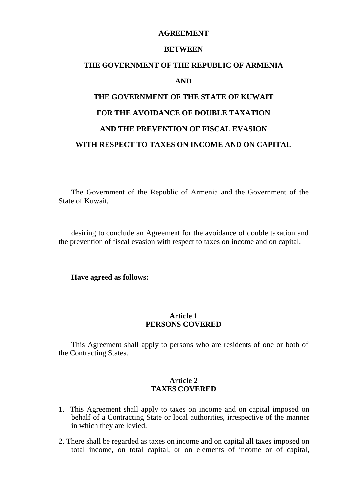#### **AGREEMENT**

#### **BETWEEN**

# **THE GOVERNMENT OF THE REPUBLIC OF ARMENIA AND THE GOVERNMENT OF THE STATE OF KUWAIT FOR THE AVOIDANCE OF DOUBLE TAXATION**

# **AND THE PREVENTION OF FISCAL EVASION**

## **WITH RESPECT TO TAXES ON INCOME AND ON CAPITAL**

The Government of the Republic of Armenia and the Government of the State of Kuwait,

desiring to conclude an Agreement for the avoidance of double taxation and the prevention of fiscal evasion with respect to taxes on income and on capital,

#### **Have agreed as follows:**

## **Article 1 PERSONS COVERED**

This Agreement shall apply to persons who are residents of one or both of the Contracting States.

#### **Article 2 TAXES COVERED**

- 1. This Agreement shall apply to taxes on income and on capital imposed on behalf of a Contracting State or local authorities, irrespective of the manner in which they are levied.
- 2. There shall be regarded as taxes on income and on capital all taxes imposed on total income, on total capital, or on elements of income or of capital,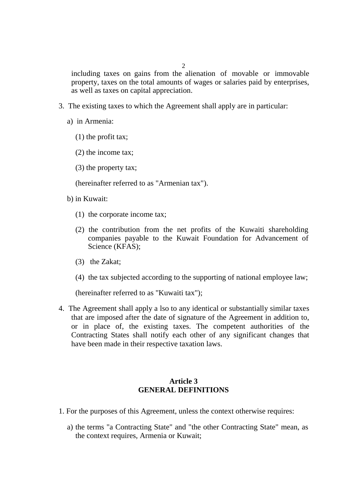including taxes on gains from the alienation of movable or immovable property, taxes on the total amounts of wages or salaries paid by enterprises, as well as taxes on capital appreciation.

- 3. The existing taxes to which the Agreement shall apply are in particular:
	- a) in Armenia:
		- (1) the profit tax;
		- (2) the income tax;
		- (3) the property tax;

(hereinafter referred to as "Armenian tax").

- b) in Kuwait:
	- (1) the corporate income tax;
	- (2) the contribution from the net profits of the Kuwaiti shareholding companies payable to the Kuwait Foundation for Advancement of Science (KFAS);
	- (3) the Zakat;
	- (4) the tax subjected according to the supporting of national employee law;

(hereinafter referred to as "Kuwaiti tax");

4. The Agreement shall apply a lso to any identical or substantially similar taxes that are imposed after the date of signature of the Agreement in addition to, or in place of, the existing taxes. The competent authorities of the Contracting States shall notify each other of any significant changes that have been made in their respective taxation laws.

# **Article 3 GENERAL DEFINITIONS**

- 1. For the purposes of this Agreement, unless the context otherwise requires:
	- a) the terms "a Contracting State" and "the other Contracting State" mean, as the context requires, Armenia or Kuwait;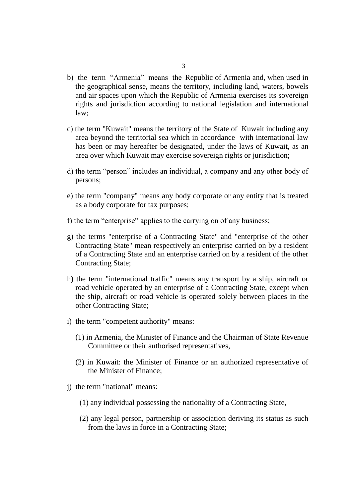- b) the term "Armenia" means the Republic of Armenia and, when used in the geographical sense, means the territory, including land, waters, bowels and air spaces upon which the Republic of Armenia exercises its sovereign rights and jurisdiction according to national legislation and international law;
- c) the term "Kuwait" means the territory of the State of Kuwait including any area beyond the territorial sea which in accordance with international law has been or may hereafter be designated, under the laws of Kuwait, as an area over which Kuwait may exercise sovereign rights or jurisdiction;
- d) the term "person" includes an individual, a company and any other body of persons;
- e) the term "company" means any body corporate or any entity that is treated as a body corporate for tax purposes;
- f) the term "enterprise" applies to the carrying on of any business;
- g) the terms "enterprise of a Contracting State" and "enterprise of the other Contracting State" mean respectively an enterprise carried on by a resident of a Contracting State and an enterprise carried on by a resident of the other Contracting State;
- h) the term "international traffic" means any transport by a ship, aircraft or road vehicle operated by an enterprise of a Contracting State, except when the ship, aircraft or road vehicle is operated solely between places in the other Contracting State;
- i) the term "competent authority" means:
	- (1) in Armenia, the Minister of Finance and the Chairman of State Revenue Committee or their authorised representatives,
	- (2) in Kuwait: the Minister of Finance or an authorized representative of the Minister of Finance;
- j) the term "national" means:
	- (1) any individual possessing the nationality of a Contracting State,
	- (2) any legal person, partnership or association deriving its status as such from the laws in force in a Contracting State;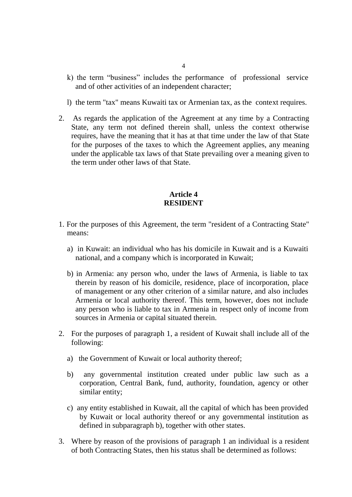- k) the term "business" includes the performance of professional service and of other activities of an independent character;
- l) the term "tax" means Kuwaiti tax or Armenian tax, as the context requires.
- 2. As regards the application of the Agreement at any time by a Contracting State, any term not defined therein shall, unless the context otherwise requires, have the meaning that it has at that time under the law of that State for the purposes of the taxes to which the Agreement applies, any meaning under the applicable tax laws of that State prevailing over a meaning given to the term under other laws of that State.

#### **Article 4 RESIDENT**

- 1. For the purposes of this Agreement, the term "resident of a Contracting State" means:
	- a) in Kuwait: an individual who has his domicile in Kuwait and is a Kuwaiti national, and a company which is incorporated in Kuwait;
	- b) in Armenia: any person who, under the laws of Armenia, is liable to tax therein by reason of his domicile, residence, place of incorporation, place of management or any other criterion of a similar nature, and also includes Armenia or local authority thereof. This term, however, does not include any person who is liable to tax in Armenia in respect only of income from sources in Armenia or capital situated therein.
- 2. For the purposes of paragraph 1, a resident of Kuwait shall include all of the following:
	- a) the Government of Kuwait or local authority thereof;
	- b) any governmental institution created under public law such as a corporation, Central Bank, fund, authority, foundation, agency or other similar entity;
	- c) any entity established in Kuwait, all the capital of which has been provided by Kuwait or local authority thereof or any governmental institution as defined in subparagraph b), together with other states.
- 3. Where by reason of the provisions of paragraph 1 an individual is a resident of both Contracting States, then his status shall be determined as follows: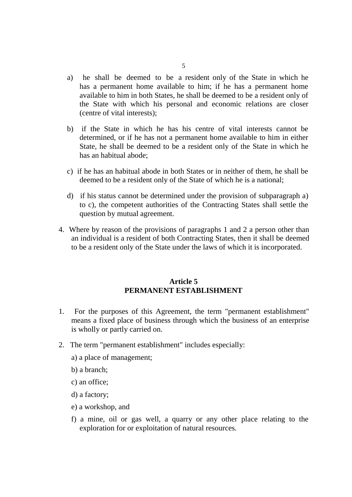- a) he shall be deemed to be a resident only of the State in which he has a permanent home available to him; if he has a permanent home available to him in both States, he shall be deemed to be a resident only of the State with which his personal and economic relations are closer (centre of vital interests);
- b) if the State in which he has his centre of vital interests cannot be determined, or if he has not a permanent home available to him in either State, he shall be deemed to be a resident only of the State in which he has an habitual abode;
- c) if he has an habitual abode in both States or in neither of them, he shall be deemed to be a resident only of the State of which he is a national;
- d) if his status cannot be determined under the provision of subparagraph a) to c), the competent authorities of the Contracting States shall settle the question by mutual agreement.
- 4. Where by reason of the provisions of paragraphs 1 and 2 a person other than an individual is a resident of both Contracting States, then it shall be deemed to be a resident only of the State under the laws of which it is incorporated.

# **Article 5 PERMANENT ESTABLISHMENT**

- 1. For the purposes of this Agreement, the term "permanent establishment" means a fixed place of business through which the business of an enterprise is wholly or partly carried on.
- 2. The term "permanent establishment" includes especially:
	- a) a place of management;
	- b) a branch;
	- c) an office;
	- d) a factory;
	- e) a workshop, and
	- f) a mine, oil or gas well, a quarry or any other place relating to the exploration for or exploitation of natural resources*.*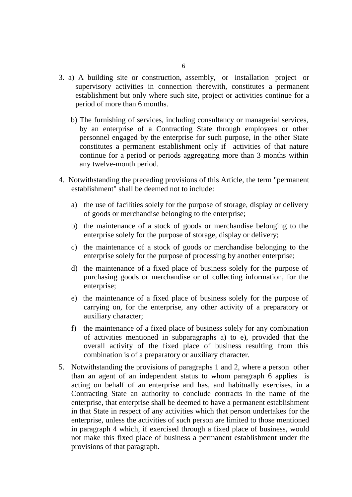- 3. a) A building site or construction, assembly, or installation project or supervisory activities in connection therewith, constitutes a permanent establishment but only where such site, project or activities continue for a period of more than 6 months.
	- b) The furnishing of services, including consultancy or managerial services, by an enterprise of a Contracting State through employees or other personnel engaged by the enterprise for such purpose, in the other State constitutes a permanent establishment only if activities of that nature continue for a period or periods aggregating more than 3 months within any twelve-month period.
- 4. Notwithstanding the preceding provisions of this Article, the term "permanent establishment" shall be deemed not to include:
	- a) the use of facilities solely for the purpose of storage, display or delivery of goods or merchandise belonging to the enterprise;
	- b) the maintenance of a stock of goods or merchandise belonging to the enterprise solely for the purpose of storage, display or delivery;
	- c) the maintenance of a stock of goods or merchandise belonging to the enterprise solely for the purpose of processing by another enterprise;
	- d) the maintenance of a fixed place of business solely for the purpose of purchasing goods or merchandise or of collecting information, for the enterprise;
	- e) the maintenance of a fixed place of business solely for the purpose of carrying on, for the enterprise, any other activity of a preparatory or auxiliary character;
	- f) the maintenance of a fixed place of business solely for any combination of activities mentioned in subparagraphs a) to e), provided that the overall activity of the fixed place of business resulting from this combination is of a preparatory or auxiliary character.
- 5. Notwithstanding the provisions of paragraphs 1 and 2, where a person other than an agent of an independent status to whom paragraph 6 applies is acting on behalf of an enterprise and has, and habitually exercises, in a Contracting State an authority to conclude contracts in the name of the enterprise, that enterprise shall be deemed to have a permanent establishment in that State in respect of any activities which that person undertakes for the enterprise, unless the activities of such person are limited to those mentioned in paragraph 4 which, if exercised through a fixed place of business, would not make this fixed place of business a permanent establishment under the provisions of that paragraph.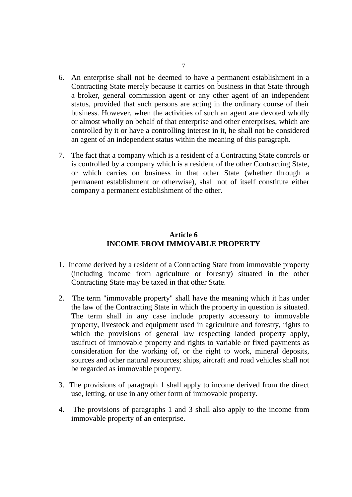- 6. An enterprise shall not be deemed to have a permanent establishment in a Contracting State merely because it carries on business in that State through a broker, general commission agent or any other agent of an independent status, provided that such persons are acting in the ordinary course of their business. However, when the activities of such an agent are devoted wholly or almost wholly on behalf of that enterprise and other enterprises, which are controlled by it or have a controlling interest in it, he shall not be considered an agent of an independent status within the meaning of this paragraph.
- 7. The fact that a company which is a resident of a Contracting State controls or is controlled by a company which is a resident of the other Contracting State, or which carries on business in that other State (whether through a permanent establishment or otherwise), shall not of itself constitute either company a permanent establishment of the other.

#### **Article 6 INCOME FROM IMMOVABLE PROPERTY**

- 1. Income derived by a resident of a Contracting State from immovable property (including income from agriculture or forestry) situated in the other Contracting State may be taxed in that other State.
- 2. The term "immovable property" shall have the meaning which it has under the law of the Contracting State in which the property in question is situated. The term shall in any case include property accessory to immovable property, livestock and equipment used in agriculture and forestry, rights to which the provisions of general law respecting landed property apply, usufruct of immovable property and rights to variable or fixed payments as consideration for the working of, or the right to work, mineral deposits, sources and other natural resources; ships, aircraft and road vehicles shall not be regarded as immovable property.
- 3. The provisions of paragraph 1 shall apply to income derived from the direct use, letting, or use in any other form of immovable property.
- 4. The provisions of paragraphs 1 and 3 shall also apply to the income from immovable property of an enterprise.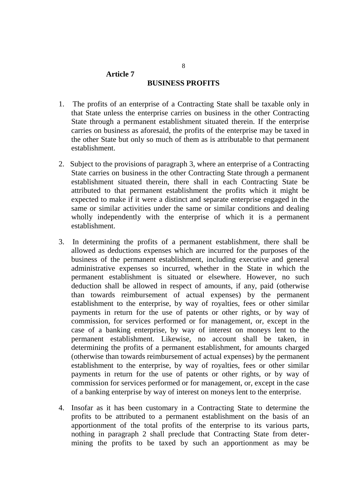# **Article 7 BUSINESS PROFITS**

- 1. The profits of an enterprise of a Contracting State shall be taxable only in that State unless the enterprise carries on business in the other Contracting State through a permanent establishment situated therein. If the enterprise carries on business as aforesaid, the profits of the enterprise may be taxed in the other State but only so much of them as is attributable to that permanent establishment.
- 2. Subject to the provisions of paragraph 3, where an enterprise of a Contracting State carries on business in the other Contracting State through a permanent establishment situated therein, there shall in each Contracting State be attributed to that permanent establishment the profits which it might be expected to make if it were a distinct and separate enterprise engaged in the same or similar activities under the same or similar conditions and dealing wholly independently with the enterprise of which it is a permanent establishment.
- 3. In determining the profits of a permanent establishment, there shall be allowed as deductions expenses which are incurred for the purposes of the business of the permanent establishment, including executive and general administrative expenses so incurred, whether in the State in which the permanent establishment is situated or elsewhere. However, no such deduction shall be allowed in respect of amounts, if any, paid (otherwise than towards reimbursement of actual expenses) by the permanent establishment to the enterprise, by way of royalties, fees or other similar payments in return for the use of patents or other rights, or by way of commission, for services performed or for management, or, except in the case of a banking enterprise, by way of interest on moneys lent to the permanent establishment. Likewise, no account shall be taken, in determining the profits of a permanent establishment, for amounts charged (otherwise than towards reimbursement of actual expenses) by the permanent establishment to the enterprise, by way of royalties, fees or other similar payments in return for the use of patents or other rights, or by way of commission for services performed or for management, or, except in the case of a banking enterprise by way of interest on moneys lent to the enterprise.
- 4. Insofar as it has been customary in a Contracting State to determine the profits to be attributed to a permanent establishment on the basis of an apportionment of the total profits of the enterprise to its various parts, nothing in paragraph 2 shall preclude that Contracting State from determining the profits to be taxed by such an apportionment as may be

8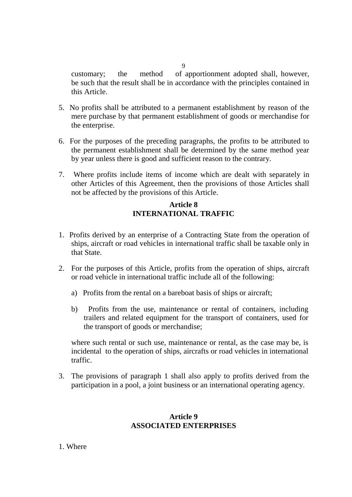customary; the method of apportionment adopted shall, however, be such that the result shall be in accordance with the principles contained in this Article.

- 5. No profits shall be attributed to a permanent establishment by reason of the mere purchase by that permanent establishment of goods or merchandise for the enterprise.
- 6. For the purposes of the preceding paragraphs, the profits to be attributed to the permanent establishment shall be determined by the same method year by year unless there is good and sufficient reason to the contrary.
- 7. Where profits include items of income which are dealt with separately in other Articles of this Agreement, then the provisions of those Articles shall not be affected by the provisions of this Article.

# **Article 8 INTERNATIONAL TRAFFIC**

- 1. Profits derived by an enterprise of a Contracting State from the operation of ships, aircraft or road vehicles in international traffic shall be taxable only in that State.
- 2. For the purposes of this Article, profits from the operation of ships, aircraft or road vehicle in international traffic include all of the following:
	- a) Profits from the rental on a bareboat basis of ships or aircraft;
	- b) Profits from the use, maintenance or rental of containers, including trailers and related equipment for the transport of containers, used for the transport of goods or merchandise;

where such rental or such use, maintenance or rental, as the case may be, is incidental to the operation of ships, aircrafts or road vehicles in international traffic.

3. The provisions of paragraph 1 shall also apply to profits derived from the participation in a pool, a joint business or an international operating agency.

# **Article 9 ASSOCIATED ENTERPRISES**

1. Where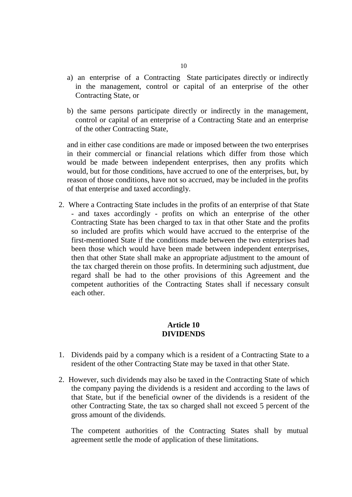- a) an enterprise of a Contracting State participates directly or indirectly in the management, control or capital of an enterprise of the other Contracting State, or
- b) the same persons participate directly or indirectly in the management, control or capital of an enterprise of a Contracting State and an enterprise of the other Contracting State,

and in either case conditions are made or imposed between the two enterprises in their commercial or financial relations which differ from those which would be made between independent enterprises, then any profits which would, but for those conditions, have accrued to one of the enterprises, but, by reason of those conditions, have not so accrued, may be included in the profits of that enterprise and taxed accordingly.

2. Where a Contracting State includes in the profits of an enterprise of that State - and taxes accordingly - profits on which an enterprise of the other Contracting State has been charged to tax in that other State and the profits so included are profits which would have accrued to the enterprise of the first-mentioned State if the conditions made between the two enterprises had been those which would have been made between independent enterprises, then that other State shall make an appropriate adjustment to the amount of the tax charged therein on those profits. In determining such adjustment, due regard shall be had to the other provisions of this Agreement and the competent authorities of the Contracting States shall if necessary consult each other.

## **Article 10 DIVIDENDS**

- 1. Dividends paid by a company which is a resident of a Contracting State to a resident of the other Contracting State may be taxed in that other State.
- 2. However, such dividends may also be taxed in the Contracting State of which the company paying the dividends is a resident and according to the laws of that State, but if the beneficial owner of the dividends is a resident of the other Contracting State, the tax so charged shall not exceed 5 percent of the gross amount of the dividends.

The competent authorities of the Contracting States shall by mutual agreement settle the mode of application of these limitations.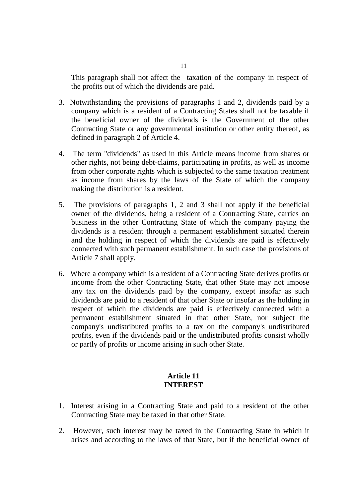This paragraph shall not affect the taxation of the company in respect of the profits out of which the dividends are paid.

- 3. Notwithstanding the provisions of paragraphs 1 and 2, dividends paid by a company which is a resident of a Contracting States shall not be taxable if the beneficial owner of the dividends is the Government of the other Contracting State or any governmental institution or other entity thereof, as defined in paragraph 2 of Article 4.
- 4. The term "dividends" as used in this Article means income from shares or other rights, not being debt-claims, participating in profits, as well as income from other corporate rights which is subjected to the same taxation treatment as income from shares by the laws of the State of which the company making the distribution is a resident.
- 5. The provisions of paragraphs 1, 2 and 3 shall not apply if the beneficial owner of the dividends, being a resident of a Contracting State, carries on business in the other Contracting State of which the company paying the dividends is a resident through a permanent establishment situated therein and the holding in respect of which the dividends are paid is effectively connected with such permanent establishment. In such case the provisions of Article 7 shall apply.
- 6. Where a company which is a resident of a Contracting State derives profits or income from the other Contracting State, that other State may not impose any tax on the dividends paid by the company, except insofar as such dividends are paid to a resident of that other State or insofar as the holding in respect of which the dividends are paid is effectively connected with a permanent establishment situated in that other State, nor subject the company's undistributed profits to a tax on the company's undistributed profits, even if the dividends paid or the undistributed profits consist wholly or partly of profits or income arising in such other State.

# **Article 11 INTEREST**

- 1. Interest arising in a Contracting State and paid to a resident of the other Contracting State may be taxed in that other State.
- 2. However, such interest may be taxed in the Contracting State in which it arises and according to the laws of that State, but if the beneficial owner of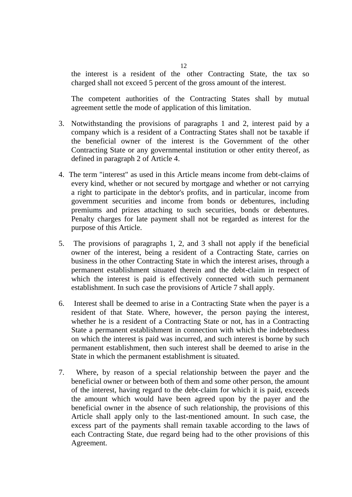the interest is a resident of the other Contracting State, the tax so charged shall not exceed 5 percent of the gross amount of the interest.

The competent authorities of the Contracting States shall by mutual agreement settle the mode of application of this limitation.

- 3. Notwithstanding the provisions of paragraphs 1 and 2, interest paid by a company which is a resident of a Contracting States shall not be taxable if the beneficial owner of the interest is the Government of the other Contracting State or any governmental institution or other entity thereof, as defined in paragraph 2 of Article 4.
- 4. The term "interest" as used in this Article means income from debt-claims of every kind, whether or not secured by mortgage and whether or not carrying a right to participate in the debtor's profits, and in particular, income from government securities and income from bonds or debentures, including premiums and prizes attaching to such securities, bonds or debentures. Penalty charges for late payment shall not be regarded as interest for the purpose of this Article.
- 5. The provisions of paragraphs 1, 2, and 3 shall not apply if the beneficial owner of the interest, being a resident of a Contracting State, carries on business in the other Contracting State in which the interest arises, through a permanent establishment situated therein and the debt-claim in respect of which the interest is paid is effectively connected with such permanent establishment. In such case the provisions of Article 7 shall apply.
- 6. Interest shall be deemed to arise in a Contracting State when the payer is a resident of that State. Where, however, the person paying the interest, whether he is a resident of a Contracting State or not, has in a Contracting State a permanent establishment in connection with which the indebtedness on which the interest is paid was incurred, and such interest is borne by such permanent establishment, then such interest shall be deemed to arise in the State in which the permanent establishment is situated.
- 7. Where, by reason of a special relationship between the payer and the beneficial owner or between both of them and some other person, the amount of the interest, having regard to the debt-claim for which it is paid, exceeds the amount which would have been agreed upon by the payer and the beneficial owner in the absence of such relationship, the provisions of this Article shall apply only to the last-mentioned amount. In such case, the excess part of the payments shall remain taxable according to the laws of each Contracting State, due regard being had to the other provisions of this Agreement.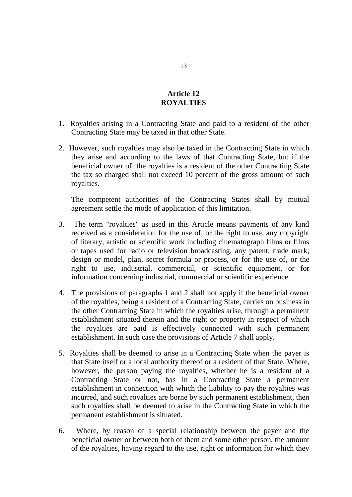# **Article 12 ROYALTIES**

- 1. Royalties arising in a Contracting State and paid to a resident of the other Contracting State may be taxed in that other State.
- 2. However, such royalties may also be taxed in the Contracting State in which they arise and according to the laws of that Contracting State, but if the beneficial owner of the royalties is a resident of the other Contracting State the tax so charged shall not exceed 10 percent of the gross amount of such royalties.

The competent authorities of the Contracting States shall by mutual agreement settle the mode of application of this limitation.

- 3. The term "royalties" as used in this Article means payments of any kind received as a consideration for the use of, or the right to use, any copyright of literary, artistic or scientific work including cinematograph films or films or tapes used for radio or television broadcasting, any patent, trade mark, design or model, plan, secret formula or process, or for the use of, or the right to use, industrial, commercial, or scientific equipment, or for information concerning industrial, commercial or scientific experience.
- 4. The provisions of paragraphs 1 and 2 shall not apply if the beneficial owner of the royalties, being a resident of a Contracting State, carries on business in the other Contracting State in which the royalties arise, through a permanent establishment situated therein and the right or property in respect of which the royalties are paid is effectively connected with such permanent establishment. In such case the provisions of Article 7 shall apply.
- 5. Royalties shall be deemed to arise in a Contracting State when the payer is that State itself or a local authority thereof or a resident of that State. Where, however, the person paying the royalties, whether he is a resident of a Contracting State or not, has in a Contracting State a permanent establishment in connection with which the liability to pay the royalties was incurred, and such royalties are borne by such permanent establishment, then such royalties shall be deemed to arise in the Contracting State in which the permanent establishment is situated.
- 6. Where, by reason of a special relationship between the payer and the beneficial owner or between both of them and some other person, the amount of the royalties, having regard to the use, right or information for which they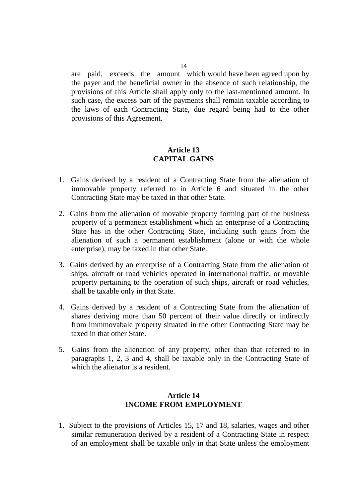are paid, exceeds the amount which would have been agreed upon by the payer and the beneficial owner in the absence of such relationship, the provisions of this Article shall apply only to the last-mentioned amount. In such case, the excess part of the payments shall remain taxable according to the laws of each Contracting State, due regard being had to the other provisions of this Agreement.

# **Article 13 CAPITAL GAINS**

- 1. Gains derived by a resident of a Contracting State from the alienation of immovable property referred to in Article 6 and situated in the other Contracting State may be taxed in that other State.
- 2. Gains from the alienation of movable property forming part of the business property of a permanent establishment which an enterprise of a Contracting State has in the other Contracting State, including such gains from the alienation of such a permanent establishment (alone or with the whole enterprise), may be taxed in that other State.
- 3. Gains derived by an enterprise of a Contracting State from the alienation of ships, aircraft or road vehicles operated in international traffic, or movable property pertaining to the operation of such ships, aircraft or road vehicles, shall be taxable only in that State.
- 4. Gains derived by a resident of a Contracting State from the alienation of shares deriving more than 50 percent of their value directly or indirectly from immmovabale property situated in the other Contracting State may be taxed in that other State.
- 5. Gains from the alienation of any property, other than that referred to in paragraphs 1, 2, 3 and 4, shall be taxable only in the Contracting State of which the alienator is a resident.

## **Article 14 INCOME FROM EMPLOYMENT**

1. Subject to the provisions of Articles 15, 17 and 18, salaries, wages and other similar remuneration derived by a resident of a Contracting State in respect of an employment shall be taxable only in that State unless the employment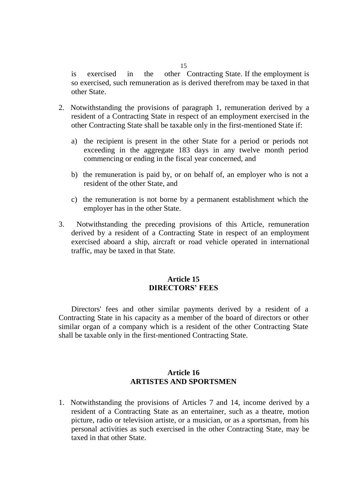is exercised in the other Contracting State. If the employment is so exercised, such remuneration as is derived therefrom may be taxed in that other State.

- 2. Notwithstanding the provisions of paragraph 1, remuneration derived by a resident of a Contracting State in respect of an employment exercised in the other Contracting State shall be taxable only in the first-mentioned State if:
	- a) the recipient is present in the other State for a period or periods not exceeding in the aggregate 183 days in any twelve month period commencing or ending in the fiscal year concerned, and
	- b) the remuneration is paid by, or on behalf of, an employer who is not a resident of the other State, and
	- c) the remuneration is not borne by a permanent establishment which the employer has in the other State.
- 3. Notwithstanding the preceding provisions of this Article, remuneration derived by a resident of a Contracting State in respect of an employment exercised aboard a ship, aircraft or road vehicle operated in international traffic, may be taxed in that State.

#### **Article 15 DIRECTORS' FEES**

Directors' fees and other similar payments derived by a resident of a Contracting State in his capacity as a member of the board of directors or other similar organ of a company which is a resident of the other Contracting State shall be taxable only in the first-mentioned Contracting State.

# **Article 16 ARTISTES AND SPORTSMEN**

1. Notwithstanding the provisions of Articles 7 and 14, income derived by a resident of a Contracting State as an entertainer, such as a theatre, motion picture, radio or television artiste, or a musician, or as a sportsman, from his personal activities as such exercised in the other Contracting State, may be taxed in that other State.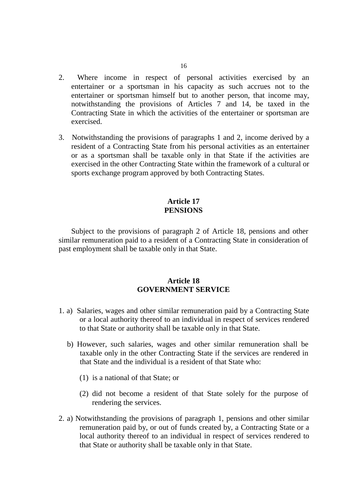- 2. Where income in respect of personal activities exercised by an entertainer or a sportsman in his capacity as such accrues not to the entertainer or sportsman himself but to another person, that income may, notwithstanding the provisions of Articles 7 and 14, be taxed in the Contracting State in which the activities of the entertainer or sportsman are exercised.
- 3. Notwithstanding the provisions of paragraphs 1 and 2, income derived by a resident of a Contracting State from his personal activities as an entertainer or as a sportsman shall be taxable only in that State if the activities are exercised in the other Contracting State within the framework of a cultural or sports exchange program approved by both Contracting States.

## **Article 17 PENSIONS**

Subject to the provisions of paragraph 2 of Article 18, pensions and other similar remuneration paid to a resident of a Contracting State in consideration of past employment shall be taxable only in that State.

# **Article 18 GOVERNMENT SERVICE**

- 1. a) Salaries, wages and other similar remuneration paid by a Contracting State or a local authority thereof to an individual in respect of services rendered to that State or authority shall be taxable only in that State.
	- b) However, such salaries, wages and other similar remuneration shall be taxable only in the other Contracting State if the services are rendered in that State and the individual is a resident of that State who:
		- (1) is a national of that State; or
		- (2) did not become a resident of that State solely for the purpose of rendering the services.
- 2. a) Notwithstanding the provisions of paragraph 1, pensions and other similar remuneration paid by, or out of funds created by, a Contracting State or a local authority thereof to an individual in respect of services rendered to that State or authority shall be taxable only in that State.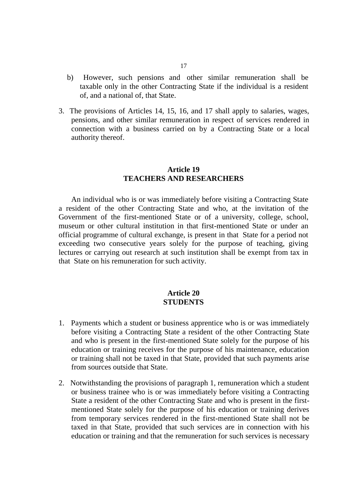- b) However, such pensions and other similar remuneration shall be taxable only in the other Contracting State if the individual is a resident of, and a national of, that State.
- 3. The provisions of Articles 14, 15, 16, and 17 shall apply to salaries, wages, pensions, and other similar remuneration in respect of services rendered in connection with a business carried on by a Contracting State or a local authority thereof.

#### **Article 19 TEACHERS AND RESEARCHERS**

An individual who is or was immediately before visiting a Contracting State a resident of the other Contracting State and who, at the invitation of the Government of the first-mentioned State or of a university, college, school, museum or other cultural institution in that first-mentioned State or under an official programme of cultural exchange, is present in that State for a period not exceeding two consecutive years solely for the purpose of teaching, giving lectures or carrying out research at such institution shall be exempt from tax in that State on his remuneration for such activity.

#### **Article 20 STUDENTS**

- 1. Payments which a student or business apprentice who is or was immediately before visiting a Contracting State a resident of the other Contracting State and who is present in the first-mentioned State solely for the purpose of his education or training receives for the purpose of his maintenance, education or training shall not be taxed in that State, provided that such payments arise from sources outside that State.
- 2. Notwithstanding the provisions of paragraph 1, remuneration which a student or business trainee who is or was immediately before visiting a Contracting State a resident of the other Contracting State and who is present in the firstmentioned State solely for the purpose of his education or training derives from temporary services rendered in the first-mentioned State shall not be taxed in that State, provided that such services are in connection with his education or training and that the remuneration for such services is necessary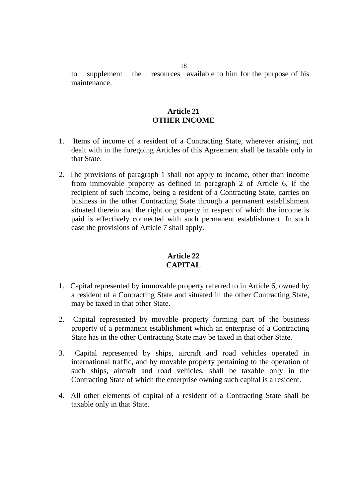to supplement the resources available to him for the purpose of his maintenance.

# **Article 21 OTHER INCOME**

- 1. Items of income of a resident of a Contracting State, wherever arising, not dealt with in the foregoing Articles of this Agreement shall be taxable only in that State.
- 2. The provisions of paragraph 1 shall not apply to income, other than income from immovable property as defined in paragraph 2 of Article 6, if the recipient of such income, being a resident of a Contracting State, carries on business in the other Contracting State through a permanent establishment situated therein and the right or property in respect of which the income is paid is effectively connected with such permanent establishment. In such case the provisions of Article 7 shall apply.

# **Article 22 CAPITAL**

- 1. Capital represented by immovable property referred to in Article 6, owned by a resident of a Contracting State and situated in the other Contracting State, may be taxed in that other State.
- 2. Capital represented by movable property forming part of the business property of a permanent establishment which an enterprise of a Contracting State has in the other Contracting State may be taxed in that other State.
- 3. Capital represented by ships, aircraft and road vehicles operated in international traffic, and by movable property pertaining to the operation of such ships, aircraft and road vehicles, shall be taxable only in the Contracting State of which the enterprise owning such capital is a resident.
- 4. All other elements of capital of a resident of a Contracting State shall be taxable only in that State.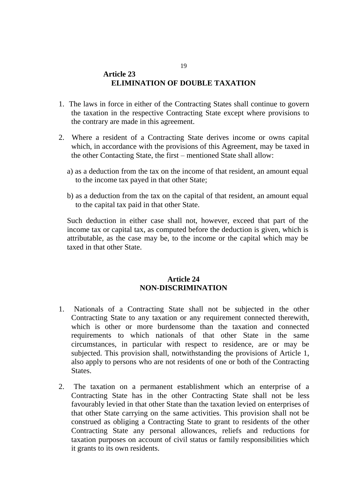# **Article 23 ELIMINATION OF DOUBLE TAXATION**

- 1. The laws in force in either of the Contracting States shall continue to govern the taxation in the respective Contracting State except where provisions to the contrary are made in this agreement.
- 2. Where a resident of a Contracting State derives income or owns capital which, in accordance with the provisions of this Agreement, may be taxed in the other Contacting State, the first – mentioned State shall allow:
	- a) as a deduction from the tax on the income of that resident, an amount equal to the income tax payed in that other State;
	- b) as a deduction from the tax on the capital of that resident, an amount equal to the capital tax paid in that other State.

Such deduction in either case shall not, however, exceed that part of the income tax or capital tax, as computed before the deduction is given, which is attributable, as the case may be, to the income or the capital which may be taxed in that other State.

## **Article 24 NON-DISCRIMINATION**

- 1. Nationals of a Contracting State shall not be subjected in the other Contracting State to any taxation or any requirement connected therewith, which is other or more burdensome than the taxation and connected requirements to which nationals of that other State in the same circumstances, in particular with respect to residence, are or may be subjected. This provision shall, notwithstanding the provisions of Article 1, also apply to persons who are not residents of one or both of the Contracting States.
- 2. The taxation on a permanent establishment which an enterprise of a Contracting State has in the other Contracting State shall not be less favourably levied in that other State than the taxation levied on enterprises of that other State carrying on the same activities. This provision shall not be construed as obliging a Contracting State to grant to residents of the other Contracting State any personal allowances, reliefs and reductions for taxation purposes on account of civil status or family responsibilities which it grants to its own residents.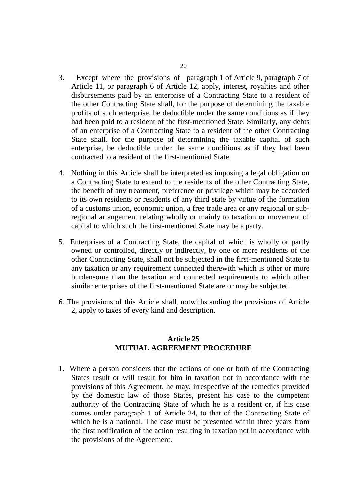- 3. Except where the provisions of paragraph 1 of Article 9, paragraph 7 of Article 11, or paragraph 6 of Article 12, apply, interest, royalties and other disbursements paid by an enterprise of a Contracting State to a resident of the other Contracting State shall, for the purpose of determining the taxable profits of such enterprise, be deductible under the same conditions as if they had been paid to a resident of the first-mentioned State. Similarly, any debts of an enterprise of a Contracting State to a resident of the other Contracting State shall, for the purpose of determining the taxable capital of such enterprise, be deductible under the same conditions as if they had been contracted to a resident of the first-mentioned State.
- 4. Nothing in this Article shall be interpreted as imposing a legal obligation on a Contracting State to extend to the residents of the other Contracting State, the benefit of any treatment, preference or privilege which may be accorded to its own residents or residents of any third state by virtue of the formation of a customs union, economic union, a free trade area or any regional or subregional arrangement relating wholly or mainly to taxation or movement of capital to which such the first-mentioned State may be a party.
- 5. Enterprises of a Contracting State, the capital of which is wholly or partly owned or controlled, directly or indirectly, by one or more residents of the other Contracting State, shall not be subjected in the first-mentioned State to any taxation or any requirement connected therewith which is other or more burdensome than the taxation and connected requirements to which other similar enterprises of the first-mentioned State are or may be subjected.
- 6. The provisions of this Article shall, notwithstanding the provisions of Article 2, apply to taxes of every kind and description.

#### **Article 25 MUTUAL AGREEMENT PROCEDURE**

1. Where a person considers that the actions of one or both of the Contracting States result or will result for him in taxation not in accordance with the provisions of this Agreement, he may, irrespective of the remedies provided by the domestic law of those States, present his case to the competent authority of the Contracting State of which he is a resident or, if his case comes under paragraph 1 of Article 24, to that of the Contracting State of which he is a national. The case must be presented within three years from the first notification of the action resulting in taxation not in accordance with the provisions of the Agreement.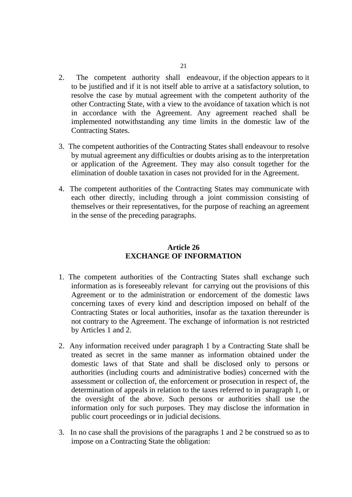- 2. The competent authority shall endeavour, if the objection appears to it to be justified and if it is not itself able to arrive at a satisfactory solution, to resolve the case by mutual agreement with the competent authority of the other Contracting State, with a view to the avoidance of taxation which is not in accordance with the Agreement. Any agreement reached shall be implemented notwithstanding any time limits in the domestic law of the Contracting States.
- 3. The competent authorities of the Contracting States shall endeavour to resolve by mutual agreement any difficulties or doubts arising as to the interpretation or application of the Agreement. They may also consult together for the elimination of double taxation in cases not provided for in the Agreement.
- 4. The competent authorities of the Contracting States may communicate with each other directly, including through a joint commission consisting of themselves or their representatives, for the purpose of reaching an agreement in the sense of the preceding paragraphs.

#### **Article 26 EXCHANGE OF INFORMATION**

- 1. The competent authorities of the Contracting States shall exchange such information as is foreseeably relevant for carrying out the provisions of this Agreement or to the administration or endorcement of the domestic laws concerning taxes of every kind and description imposed on behalf of the Contracting States or local authorities, insofar as the taxation thereunder is not contrary to the Agreement. The exchange of information is not restricted by Articles 1 and 2.
- 2. Any information received under paragraph 1 by a Contracting State shall be treated as secret in the same manner as information obtained under the domestic laws of that State and shall be disclosed only to persons or authorities (including courts and administrative bodies) concerned with the assessment or collection of, the enforcement or prosecution in respect of, the determination of appeals in relation to the taxes referred to in paragraph 1, or the oversight of the above. Such persons or authorities shall use the information only for such purposes. They may disclose the information in public court proceedings or in judicial decisions.
- 3. In no case shall the provisions of the paragraphs 1 and 2 be construed so as to impose on a Contracting State the obligation: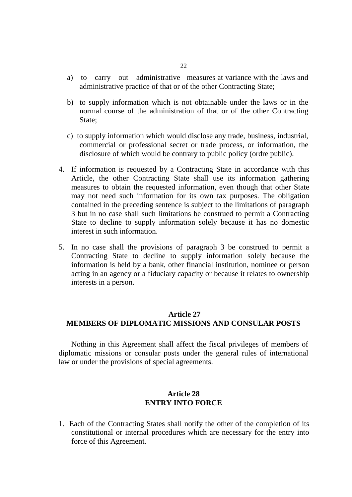- a) to carry out administrative measures at variance with the laws and administrative practice of that or of the other Contracting State;
- b) to supply information which is not obtainable under the laws or in the normal course of the administration of that or of the other Contracting State;
- c) to supply information which would disclose any trade, business, industrial, commercial or professional secret or trade process, or information, the disclosure of which would be contrary to public policy (ordre public).
- 4. If information is requested by a Contracting State in accordance with this Article, the other Contracting State shall use its information gathering measures to obtain the requested information, even though that other State may not need such information for its own tax purposes. The obligation contained in the preceding sentence is subject to the limitations of paragraph 3 but in no case shall such limitations be construed to permit a Contracting State to decline to supply information solely because it has no domestic interest in such information.
- 5. In no case shall the provisions of paragraph 3 be construed to permit a Contracting State to decline to supply information solely because the information is held by a bank, other financial institution, nominee or person acting in an agency or a fiduciary capacity or because it relates to ownership interests in a person.

# **Article 27 MEMBERS OF DIPLOMATIC MISSIONS AND CONSULAR POSTS**

Nothing in this Agreement shall affect the fiscal privileges of members of diplomatic missions or consular posts under the general rules of international law or under the provisions of special agreements.

# **Article 28 ENTRY INTO FORCE**

1. Each of the Contracting States shall notify the other of the completion of its constitutional or internal procedures which are necessary for the entry into force of this Agreement.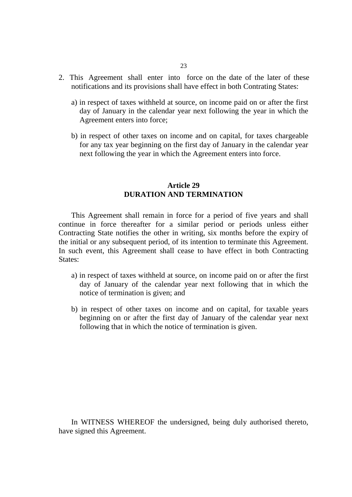- 2. This Agreement shall enter into force on the date of the later of these notifications and its provisions shall have effect in both Contrating States:
	- a) in respect of taxes withheld at source, on income paid on or after the first day of January in the calendar year next following the year in which the Agreement enters into force;
	- b) in respect of other taxes on income and on capital, for taxes chargeable for any tax year beginning on the first day of January in the calendar year next following the year in which the Agreement enters into force.

#### **Article 29 DURATION AND TERMINATION**

This Agreement shall remain in force for a period of five years and shall continue in force thereafter for a similar period or periods unless either Contracting State notifies the other in writing, six months before the expiry of the initial or any subsequent period, of its intention to terminate this Agreement. In such event, this Agreement shall cease to have effect in both Contracting States:

- a) in respect of taxes withheld at source, on income paid on or after the first day of January of the calendar year next following that in which the notice of termination is given; and
- b) in respect of other taxes on income and on capital, for taxable years beginning on or after the first day of January of the calendar year next following that in which the notice of termination is given.

In WITNESS WHEREOF the undersigned, being duly authorised thereto, have signed this Agreement.